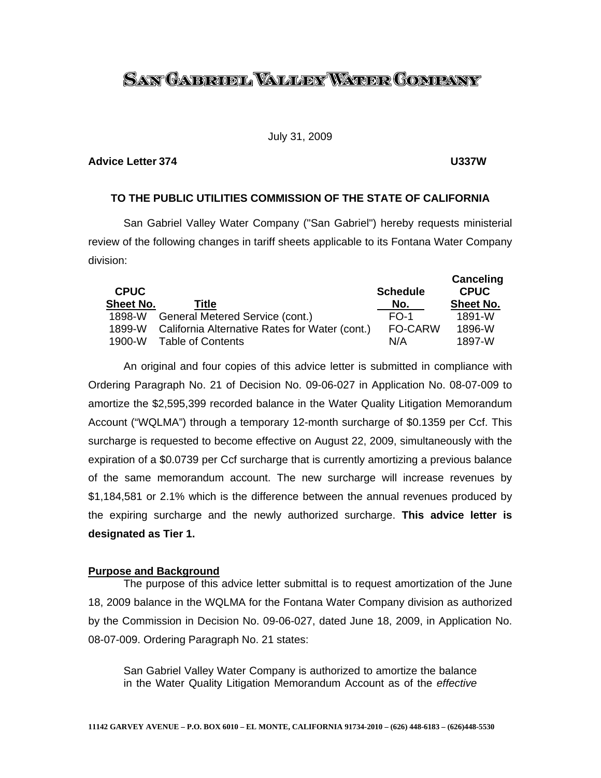# <u>San Gabrobl Waller Water Company</u>

### July 31, 2009

### **Advice Letter 374 U337W**

# **TO THE PUBLIC UTILITIES COMMISSION OF THE STATE OF CALIFORNIA**

 San Gabriel Valley Water Company ("San Gabriel") hereby requests ministerial review of the following changes in tariff sheets applicable to its Fontana Water Company division:

| <b>CPUC</b><br><b>Sheet No.</b> | <b>Title</b>                                   | <b>Schedule</b><br>No. | Canceling<br><b>CPUC</b><br><b>Sheet No.</b> |
|---------------------------------|------------------------------------------------|------------------------|----------------------------------------------|
| 1898-W                          |                                                | $FO-1$                 | 1891-W                                       |
|                                 | General Metered Service (cont.)                |                        |                                              |
| 1899-W                          | California Alternative Rates for Water (cont.) | <b>FO-CARW</b>         | 1896-W                                       |
| $1900 - W$                      | Table of Contents                              | N/A                    | 1897-W                                       |

 An original and four copies of this advice letter is submitted in compliance with Ordering Paragraph No. 21 of Decision No. 09-06-027 in Application No. 08-07-009 to amortize the \$2,595,399 recorded balance in the Water Quality Litigation Memorandum Account ("WQLMA") through a temporary 12-month surcharge of \$0.1359 per Ccf. This surcharge is requested to become effective on August 22, 2009, simultaneously with the expiration of a \$0.0739 per Ccf surcharge that is currently amortizing a previous balance of the same memorandum account. The new surcharge will increase revenues by \$1,184,581 or 2.1% which is the difference between the annual revenues produced by the expiring surcharge and the newly authorized surcharge. **This advice letter is designated as Tier 1.** 

# **Purpose and Background**

 The purpose of this advice letter submittal is to request amortization of the June 18, 2009 balance in the WQLMA for the Fontana Water Company division as authorized by the Commission in Decision No. 09-06-027, dated June 18, 2009, in Application No. 08-07-009. Ordering Paragraph No. 21 states:

San Gabriel Valley Water Company is authorized to amortize the balance in the Water Quality Litigation Memorandum Account as of the *effective*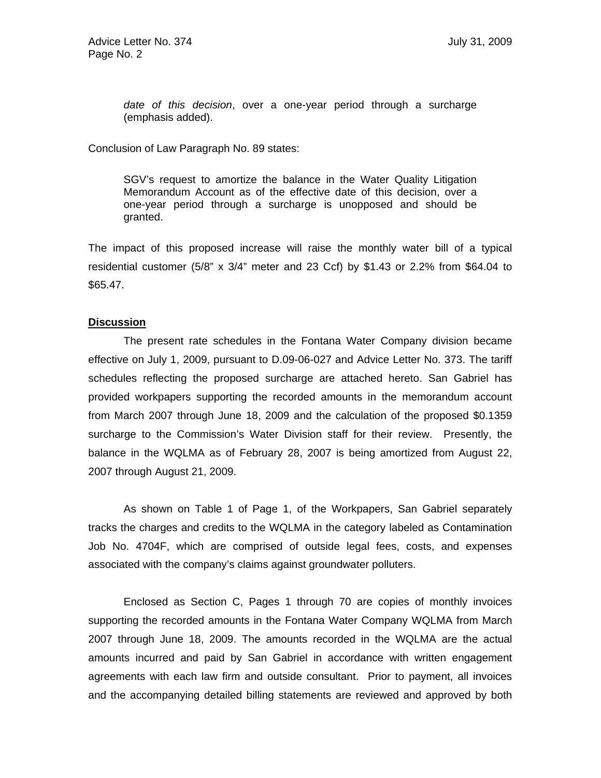*date of this decision*, over a one-year period through a surcharge (emphasis added).

Conclusion of Law Paragraph No. 89 states:

SGV's request to amortize the balance in the Water Quality Litigation Memorandum Account as of the effective date of this decision, over a one-year period through a surcharge is unopposed and should be granted.

The impact of this proposed increase will raise the monthly water bill of a typical residential customer (5/8" x 3/4" meter and 23 Ccf) by \$1.43 or 2.2% from \$64.04 to \$65.47.

# **Discussion**

The present rate schedules in the Fontana Water Company division became effective on July 1, 2009, pursuant to D.09-06-027 and Advice Letter No. 373. The tariff schedules reflecting the proposed surcharge are attached hereto. San Gabriel has provided workpapers supporting the recorded amounts in the memorandum account from March 2007 through June 18, 2009 and the calculation of the proposed \$0.1359 surcharge to the Commission's Water Division staff for their review. Presently, the balance in the WQLMA as of February 28, 2007 is being amortized from August 22, 2007 through August 21, 2009.

As shown on Table 1 of Page 1, of the Workpapers, San Gabriel separately tracks the charges and credits to the WQLMA in the category labeled as Contamination Job No. 4704F, which are comprised of outside legal fees, costs, and expenses associated with the company's claims against groundwater polluters.

 Enclosed as Section C, Pages 1 through 70 are copies of monthly invoices supporting the recorded amounts in the Fontana Water Company WQLMA from March 2007 through June 18, 2009. The amounts recorded in the WQLMA are the actual amounts incurred and paid by San Gabriel in accordance with written engagement agreements with each law firm and outside consultant. Prior to payment, all invoices and the accompanying detailed billing statements are reviewed and approved by both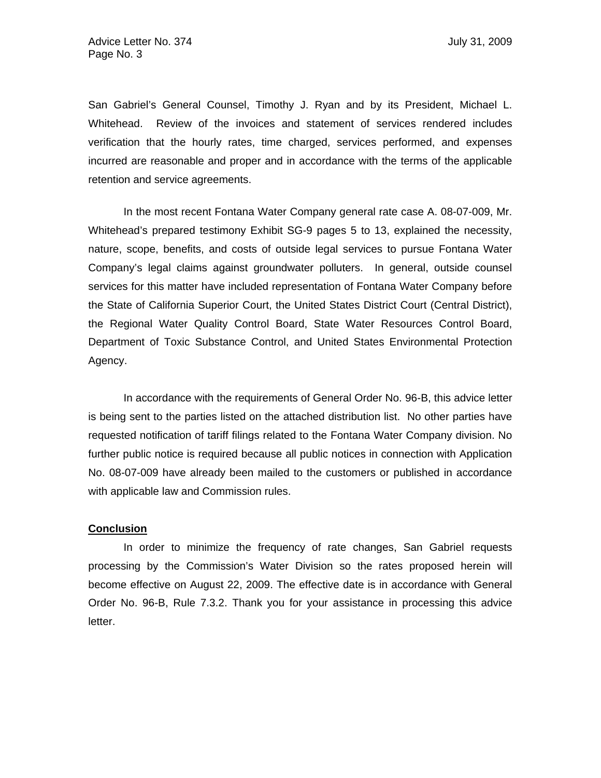San Gabriel's General Counsel, Timothy J. Ryan and by its President, Michael L. Whitehead. Review of the invoices and statement of services rendered includes verification that the hourly rates, time charged, services performed, and expenses incurred are reasonable and proper and in accordance with the terms of the applicable retention and service agreements.

In the most recent Fontana Water Company general rate case A. 08-07-009, Mr. Whitehead's prepared testimony Exhibit SG-9 pages 5 to 13, explained the necessity, nature, scope, benefits, and costs of outside legal services to pursue Fontana Water Company's legal claims against groundwater polluters. In general, outside counsel services for this matter have included representation of Fontana Water Company before the State of California Superior Court, the United States District Court (Central District), the Regional Water Quality Control Board, State Water Resources Control Board, Department of Toxic Substance Control, and United States Environmental Protection Agency.

 In accordance with the requirements of General Order No. 96-B, this advice letter is being sent to the parties listed on the attached distribution list. No other parties have requested notification of tariff filings related to the Fontana Water Company division. No further public notice is required because all public notices in connection with Application No. 08-07-009 have already been mailed to the customers or published in accordance with applicable law and Commission rules.

### **Conclusion**

 In order to minimize the frequency of rate changes, San Gabriel requests processing by the Commission's Water Division so the rates proposed herein will become effective on August 22, 2009. The effective date is in accordance with General Order No. 96-B, Rule 7.3.2. Thank you for your assistance in processing this advice letter.